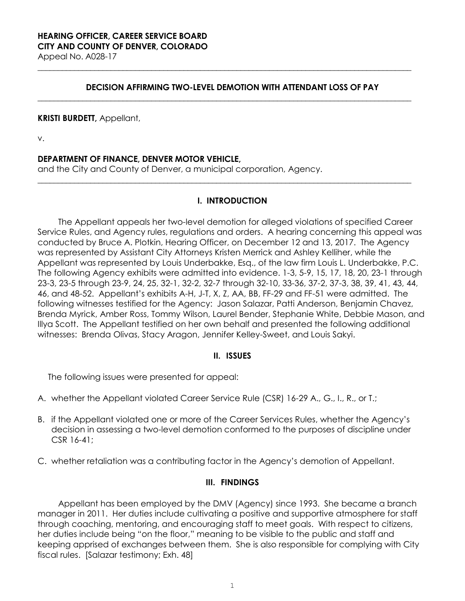## **DECISION AFFIRMING TWO-LEVEL DEMOTION WITH ATTENDANT LOSS OF PAY**

**\_\_\_\_\_\_\_\_\_\_\_\_\_\_\_\_\_\_\_\_\_\_\_\_\_\_\_\_\_\_\_\_\_\_\_\_\_\_\_\_\_\_\_\_\_\_\_\_\_\_\_\_\_\_\_\_\_\_\_\_\_\_\_\_\_\_\_\_\_\_\_\_\_\_\_\_\_\_\_\_\_\_\_\_\_\_\_\_\_\_\_\_**

**\_\_\_\_\_\_\_\_\_\_\_\_\_\_\_\_\_\_\_\_\_\_\_\_\_\_\_\_\_\_\_\_\_\_\_\_\_\_\_\_\_\_\_\_\_\_\_\_\_\_\_\_\_\_\_\_\_\_\_\_\_\_\_\_\_\_\_\_\_\_\_\_\_\_\_\_\_\_\_\_\_\_\_\_\_\_\_\_\_\_\_\_**

#### **KRISTI BURDETT,** Appellant,

v.

### **DEPARTMENT OF FINANCE, DENVER MOTOR VEHICLE,**

and the City and County of Denver, a municipal corporation, Agency.

### **I. INTRODUCTION**

**\_\_\_\_\_\_\_\_\_\_\_\_\_\_\_\_\_\_\_\_\_\_\_\_\_\_\_\_\_\_\_\_\_\_\_\_\_\_\_\_\_\_\_\_\_\_\_\_\_\_\_\_\_\_\_\_\_\_\_\_\_\_\_\_\_\_\_\_\_\_\_\_\_\_\_\_\_\_\_\_\_\_\_\_\_\_\_\_\_\_\_\_**

The Appellant appeals her two-level demotion for alleged violations of specified Career Service Rules, and Agency rules, regulations and orders. A hearing concerning this appeal was conducted by Bruce A. Plotkin, Hearing Officer, on December 12 and 13, 2017. The Agency was represented by Assistant City Attorneys Kristen Merrick and Ashley Kelliher, while the Appellant was represented by Louis Underbakke, Esq., of the law firm Louis L. Underbakke, P.C. The following Agency exhibits were admitted into evidence. 1-3, 5-9, 15, 17, 18, 20, 23-1 through 23-3, 23-5 through 23-9, 24, 25, 32-1, 32-2, 32-7 through 32-10, 33-36, 37-2, 37-3, 38, 39, 41, 43, 44, 46, and 48-52. Appellant's exhibits A-H, J-T, X, Z, AA, BB, FF-29 and FF-51 were admitted. The following witnesses testified for the Agency: Jason Salazar, Patti Anderson, Benjamin Chavez, Brenda Myrick, Amber Ross, Tommy Wilson, Laurel Bender, Stephanie White, Debbie Mason, and Illya Scott. The Appellant testified on her own behalf and presented the following additional witnesses: Brenda Olivas, Stacy Aragon, Jennifer Kelley-Sweet, and Louis Sakyi.

### **II. ISSUES**

The following issues were presented for appeal:

- A. whether the Appellant violated Career Service Rule (CSR) 16-29 A., G., I., R., or T.;
- B. if the Appellant violated one or more of the Career Services Rules, whether the Agency's decision in assessing a two-level demotion conformed to the purposes of discipline under CSR 16-41;
- C. whether retaliation was a contributing factor in the Agency's demotion of Appellant.

#### **III. FINDINGS**

Appellant has been employed by the DMV (Agency) since 1993. She became a branch manager in 2011. Her duties include cultivating a positive and supportive atmosphere for staff through coaching, mentoring, and encouraging staff to meet goals. With respect to citizens, her duties include being "on the floor," meaning to be visible to the public and staff and keeping apprised of exchanges between them. She is also responsible for complying with City fiscal rules. [Salazar testimony; Exh. 48]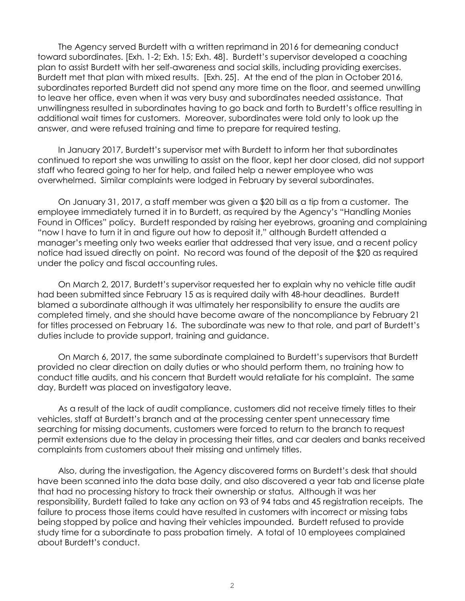The Agency served Burdett with a written reprimand in 2016 for demeaning conduct toward subordinates. [Exh. 1-2; Exh. 15; Exh. 48]. Burdett's supervisor developed a coaching plan to assist Burdett with her self-awareness and social skills, including providing exercises. Burdett met that plan with mixed results. [Exh. 25]. At the end of the plan in October 2016, subordinates reported Burdett did not spend any more time on the floor, and seemed unwilling to leave her office, even when it was very busy and subordinates needed assistance. That unwillingness resulted in subordinates having to go back and forth to Burdett's office resulting in additional wait times for customers. Moreover, subordinates were told only to look up the answer, and were refused training and time to prepare for required testing.

In January 2017, Burdett's supervisor met with Burdett to inform her that subordinates continued to report she was unwilling to assist on the floor, kept her door closed, did not support staff who feared going to her for help, and failed help a newer employee who was overwhelmed. Similar complaints were lodged in February by several subordinates.

On January 31, 2017, a staff member was given a \$20 bill as a tip from a customer. The employee immediately turned it in to Burdett, as required by the Agency's "Handling Monies Found in Offices" policy. Burdett responded by raising her eyebrows, groaning and complaining "now I have to turn it in and figure out how to deposit it," although Burdett attended a manager's meeting only two weeks earlier that addressed that very issue, and a recent policy notice had issued directly on point. No record was found of the deposit of the \$20 as required under the policy and fiscal accounting rules.

On March 2, 2017, Burdett's supervisor requested her to explain why no vehicle title audit had been submitted since February 15 as is required daily with 48-hour deadlines. Burdett blamed a subordinate although it was ultimately her responsibility to ensure the audits are completed timely, and she should have become aware of the noncompliance by February 21 for titles processed on February 16. The subordinate was new to that role, and part of Burdett's duties include to provide support, training and guidance.

On March 6, 2017, the same subordinate complained to Burdett's supervisors that Burdett provided no clear direction on daily duties or who should perform them, no training how to conduct title audits, and his concern that Burdett would retaliate for his complaint. The same day, Burdett was placed on investigatory leave.

As a result of the lack of audit compliance, customers did not receive timely titles to their vehicles, staff at Burdett's branch and at the processing center spent unnecessary time searching for missing documents, customers were forced to return to the branch to request permit extensions due to the delay in processing their titles, and car dealers and banks received complaints from customers about their missing and untimely titles.

Also, during the investigation, the Agency discovered forms on Burdett's desk that should have been scanned into the data base daily, and also discovered a year tab and license plate that had no processing history to track their ownership or status. Although it was her responsibility, Burdett failed to take any action on 93 of 94 tabs and 45 registration receipts. The failure to process those items could have resulted in customers with incorrect or missing tabs being stopped by police and having their vehicles impounded. Burdett refused to provide study time for a subordinate to pass probation timely. A total of 10 employees complained about Burdett's conduct.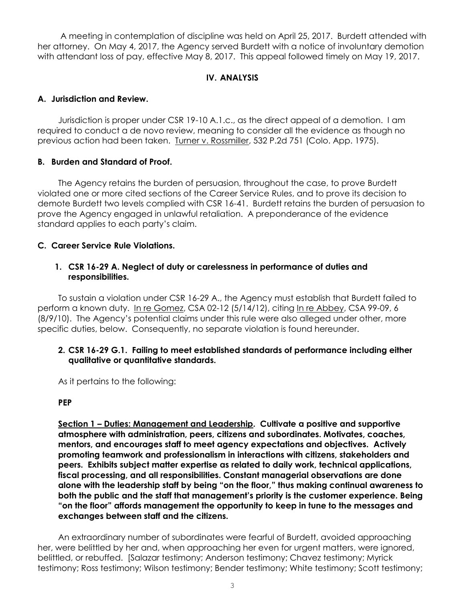A meeting in contemplation of discipline was held on April 25, 2017. Burdett attended with her attorney. On May 4, 2017, the Agency served Burdett with a notice of involuntary demotion with attendant loss of pay, effective May 8, 2017. This appeal followed timely on May 19, 2017.

# **IV. ANALYSIS**

# **A. Jurisdiction and Review.**

Jurisdiction is proper under CSR 19-10 A.1.c., as the direct appeal of a demotion. I am required to conduct a de novo review, meaning to consider all the evidence as though no previous action had been taken. Turner v. Rossmiller, 532 P.2d 751 (Colo. App. 1975).

# **B. Burden and Standard of Proof.**

The Agency retains the burden of persuasion, throughout the case, to prove Burdett violated one or more cited sections of the Career Service Rules, and to prove its decision to demote Burdett two levels complied with CSR 16-41. Burdett retains the burden of persuasion to prove the Agency engaged in unlawful retaliation. A preponderance of the evidence standard applies to each party's claim.

# **C. Career Service Rule Violations.**

## **1. CSR 16-29 A. Neglect of duty or carelessness in performance of duties and responsibilities.**

To sustain a violation under CSR 16-29 A., the Agency must establish that Burdett failed to perform a known duty. In re Gomez, CSA 02-12 (5/14/12), citing In re Abbey, CSA 99-09, 6 (8/9/10). The Agency's potential claims under this rule were also alleged under other, more specific duties, below. Consequently, no separate violation is found hereunder.

## **2. CSR 16-29 G.1. Failing to meet established standards of performance including either qualitative or quantitative standards.**

As it pertains to the following:

### **PEP**

**Section 1 – Duties: Management and Leadership. Cultivate a positive and supportive atmosphere with administration, peers, citizens and subordinates. Motivates, coaches, mentors, and encourages staff to meet agency expectations and objectives. Actively promoting teamwork and professionalism in interactions with citizens, stakeholders and peers. Exhibits subject matter expertise as related to daily work, technical applications, fiscal processing, and all responsibilities. Constant managerial observations are done alone with the leadership staff by being "on the floor," thus making continual awareness to both the public and the staff that management's priority is the customer experience. Being "on the floor" affords management the opportunity to keep in tune to the messages and exchanges between staff and the citizens.**

An extraordinary number of subordinates were fearful of Burdett, avoided approaching her, were belittled by her and, when approaching her even for urgent matters, were ignored, belittled, or rebuffed. [Salazar testimony; Anderson testimony; Chavez testimony; Myrick testimony; Ross testimony; Wilson testimony; Bender testimony; White testimony; Scott testimony;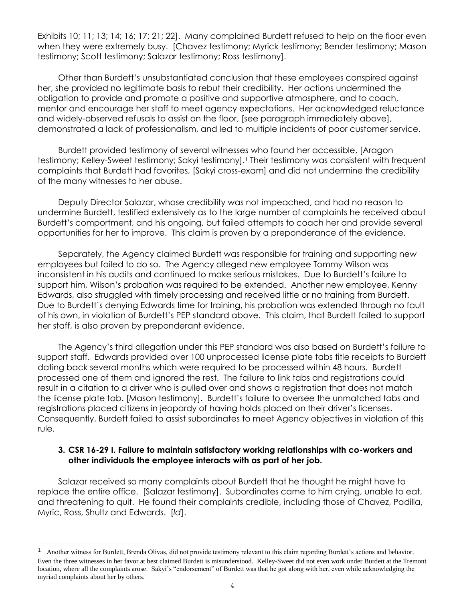Exhibits 10; 11; 13; 14; 16; 17; 21; 22]. Many complained Burdett refused to help on the floor even when they were extremely busy. [Chavez testimony; Myrick testimony; Bender testimony; Mason testimony; Scott testimony; Salazar testimony; Ross testimony].

Other than Burdett's unsubstantiated conclusion that these employees conspired against her, she provided no legitimate basis to rebut their credibility. Her actions undermined the obligation to provide and promote a positive and supportive atmosphere, and to coach, mentor and encourage her staff to meet agency expectations. Her acknowledged reluctance and widely-observed refusals to assist on the floor, [see paragraph immediately above], demonstrated a lack of professionalism, and led to multiple incidents of poor customer service.

Burdett provided testimony of several witnesses who found her accessible, [Aragon testimony; Kelley-Sweet testimony; Sakyi testimony]. <sup>1</sup> Their testimony was consistent with frequent complaints that Burdett had favorites, [Sakyi cross-exam] and did not undermine the credibility of the many witnesses to her abuse.

Deputy Director Salazar, whose credibility was not impeached, and had no reason to undermine Burdett, testified extensively as to the large number of complaints he received about Burdett's comportment, and his ongoing, but failed attempts to coach her and provide several opportunities for her to improve. This claim is proven by a preponderance of the evidence.

Separately, the Agency claimed Burdett was responsible for training and supporting new employees but failed to do so. The Agency alleged new employee Tommy Wilson was inconsistent in his audits and continued to make serious mistakes. Due to Burdett's failure to support him, Wilson's probation was required to be extended. Another new employee, Kenny Edwards, also struggled with timely processing and received little or no training from Burdett. Due to Burdett's denying Edwards time for training, his probation was extended through no fault of his own, in violation of Burdett's PEP standard above. This claim, that Burdett failed to support her staff, is also proven by preponderant evidence.

The Agency's third allegation under this PEP standard was also based on Burdett's failure to support staff. Edwards provided over 100 unprocessed license plate tabs title receipts to Burdett dating back several months which were required to be processed within 48 hours. Burdett processed one of them and ignored the rest. The failure to link tabs and registrations could result in a citation to a driver who is pulled over and shows a registration that does not match the license plate tab. [Mason testimony]. Burdett's failure to oversee the unmatched tabs and registrations placed citizens in jeopardy of having holds placed on their driver's licenses. Consequently, Burdett failed to assist subordinates to meet Agency objectives in violation of this rule.

### **3. CSR 16-29 I. Failure to maintain satisfactory working relationships with co-workers and other individuals the employee interacts with as part of her job.**

Salazar received so many complaints about Burdett that he thought he might have to replace the entire office. [Salazar testimony]. Subordinates came to him crying, unable to eat, and threatening to quit. He found their complaints credible, including those of Chavez, Padilla, Myric, Ross, Shultz and Edwards. [*Id*].

L,

<sup>&</sup>lt;sup>1</sup> Another witness for Burdett, Brenda Olivas, did not provide testimony relevant to this claim regarding Burdett's actions and behavior. Even the three witnesses in her favor at best claimed Burdett is misunderstood. Kelley-Sweet did not even work under Burdett at the Tremont location, where all the complaints arose. Sakyi's "endorsement" of Burdett was that he got along with her, even while acknowledging the myriad complaints about her by others.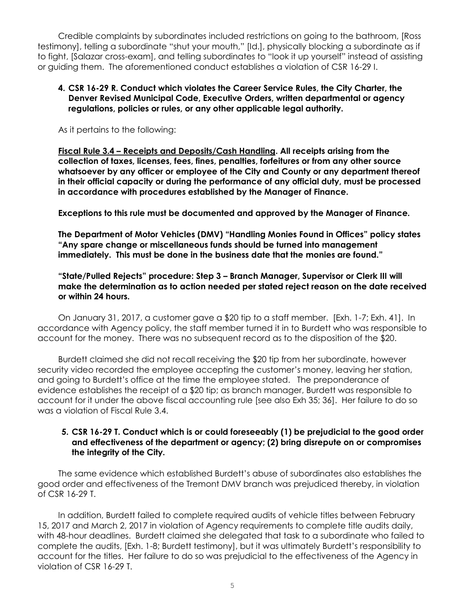Credible complaints by subordinates included restrictions on going to the bathroom, [Ross testimony], telling a subordinate "shut your mouth," [Id.], physically blocking a subordinate as if to fight, [Salazar cross-exam], and telling subordinates to "look it up yourself" instead of assisting or guiding them. The aforementioned conduct establishes a violation of CSR 16-29 I.

## **4. CSR 16-29 R. Conduct which violates the Career Service Rules, the City Charter, the Denver Revised Municipal Code, Executive Orders, written departmental or agency regulations, policies or rules, or any other applicable legal authority.**

As it pertains to the following:

**Fiscal Rule 3.4 – Receipts and Deposits/Cash Handling. All receipts arising from the collection of taxes, licenses, fees, fines, penalties, forfeitures or from any other source whatsoever by any officer or employee of the City and County or any department thereof in their official capacity or during the performance of any official duty, must be processed in accordance with procedures established by the Manager of Finance.**

**Exceptions to this rule must be documented and approved by the Manager of Finance.**

**The Department of Motor Vehicles (DMV) "Handling Monies Found in Offices" policy states "Any spare change or miscellaneous funds should be turned into management immediately. This must be done in the business date that the monies are found."**

**"State/Pulled Rejects" procedure: Step 3 – Branch Manager, Supervisor or Clerk III will make the determination as to action needed per stated reject reason on the date received or within 24 hours.** 

On January 31, 2017, a customer gave a \$20 tip to a staff member. [Exh. 1-7; Exh. 41]. In accordance with Agency policy, the staff member turned it in to Burdett who was responsible to account for the money. There was no subsequent record as to the disposition of the \$20.

Burdett claimed she did not recall receiving the \$20 tip from her subordinate, however security video recorded the employee accepting the customer's money, leaving her station, and going to Burdett's office at the time the employee stated. The preponderance of evidence establishes the receipt of a \$20 tip; as branch manager, Burdett was responsible to account for it under the above fiscal accounting rule [see also Exh 35; 36]. Her failure to do so was a violation of Fiscal Rule 3.4.

## **5. CSR 16-29 T. Conduct which is or could foreseeably (1) be prejudicial to the good order and effectiveness of the department or agency; (2) bring disrepute on or compromises the integrity of the City.**

The same evidence which established Burdett's abuse of subordinates also establishes the good order and effectiveness of the Tremont DMV branch was prejudiced thereby, in violation of CSR 16-29 T.

In addition, Burdett failed to complete required audits of vehicle titles between February 15, 2017 and March 2, 2017 in violation of Agency requirements to complete title audits daily, with 48-hour deadlines. Burdett claimed she delegated that task to a subordinate who failed to complete the audits, [Exh. 1-8; Burdett testimony], but it was ultimately Burdett's responsibility to account for the titles. Her failure to do so was prejudicial to the effectiveness of the Agency in violation of CSR 16-29 T.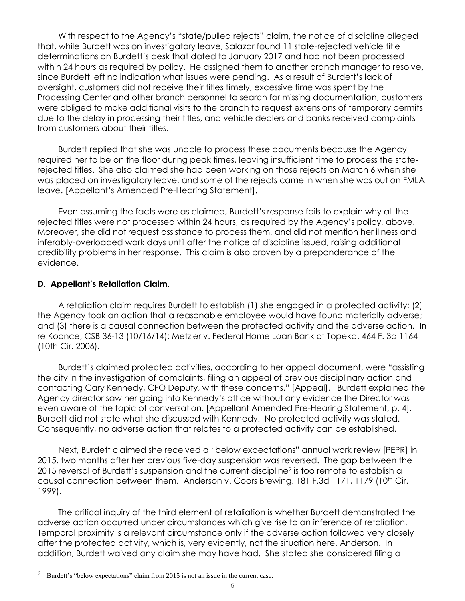With respect to the Agency's "state/pulled rejects" claim, the notice of discipline alleged that, while Burdett was on investigatory leave, Salazar found 11 state-rejected vehicle title determinations on Burdett's desk that dated to January 2017 and had not been processed within 24 hours as required by policy. He assigned them to another branch manager to resolve, since Burdett left no indication what issues were pending. As a result of Burdett's lack of oversight, customers did not receive their titles timely, excessive time was spent by the Processing Center and other branch personnel to search for missing documentation, customers were obliged to make additional visits to the branch to request extensions of temporary permits due to the delay in processing their titles, and vehicle dealers and banks received complaints from customers about their titles.

Burdett replied that she was unable to process these documents because the Agency required her to be on the floor during peak times, leaving insufficient time to process the staterejected titles. She also claimed she had been working on those rejects on March 6 when she was placed on investigatory leave, and some of the rejects came in when she was out on FMLA leave. [Appellant's Amended Pre-Hearing Statement].

Even assuming the facts were as claimed, Burdett's response fails to explain why all the rejected titles were not processed within 24 hours, as required by the Agency's policy, above. Moreover, she did not request assistance to process them, and did not mention her illness and inferably-overloaded work days until after the notice of discipline issued, raising additional credibility problems in her response. This claim is also proven by a preponderance of the evidence.

## **D. Appellant's Retaliation Claim.**

A retaliation claim requires Burdett to establish (1) she engaged in a protected activity; (2) the Agency took an action that a reasonable employee would have found materially adverse; and (3) there is a causal connection between the protected activity and the adverse action. In re Koonce, CSB 36-13 (10/16/14); Metzler v. Federal Home Loan Bank of Topeka, 464 F. 3d 1164 (10th Cir. 2006).

Burdett's claimed protected activities, according to her appeal document, were "assisting the city in the investigation of complaints, filing an appeal of previous disciplinary action and contacting Cary Kennedy, CFO Deputy, with these concerns." [Appeal]. Burdett explained the Agency director saw her going into Kennedy's office without any evidence the Director was even aware of the topic of conversation. [Appellant Amended Pre-Hearing Statement, p. 4]. Burdett did not state what she discussed with Kennedy. No protected activity was stated. Consequently, no adverse action that relates to a protected activity can be established.

Next, Burdett claimed she received a "below expectations" annual work review [PEPR] in 2015, two months after her previous five-day suspension was reversed. The gap between the 2015 reversal of Burdett's suspension and the current discipline<sup>2</sup> is too remote to establish a causal connection between them. Anderson v. Coors Brewing, 181 F.3d 1171, 1179 (10<sup>th</sup> Cir. 1999).

The critical inquiry of the third element of retaliation is whether Burdett demonstrated the adverse action occurred under circumstances which give rise to an inference of retaliation. Temporal proximity is a relevant circumstance only if the adverse action followed very closely after the protected activity, which is, very evidently, not the situation here. Anderson. In addition, Burdett waived any claim she may have had. She stated she considered filing a

L

<sup>&</sup>lt;sup>2</sup> Burdett's "below expectations" claim from 2015 is not an issue in the current case.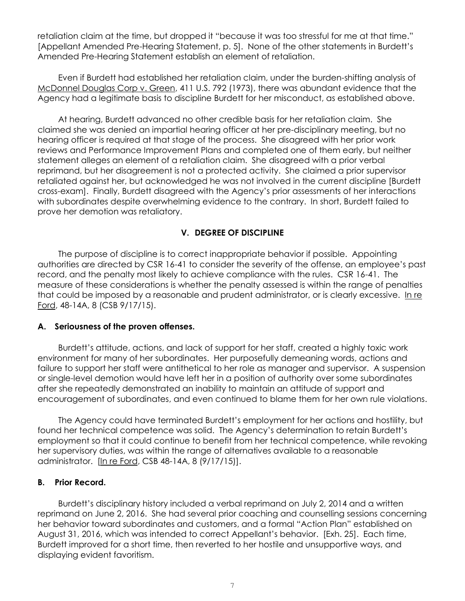retaliation claim at the time, but dropped it "because it was too stressful for me at that time." [Appellant Amended Pre-Hearing Statement, p. 5]. None of the other statements in Burdett's Amended Pre-Hearing Statement establish an element of retaliation.

Even if Burdett had established her retaliation claim, under the burden-shifting analysis of McDonnel Douglas Corp v. Green, 411 U.S. 792 (1973), there was abundant evidence that the Agency had a legitimate basis to discipline Burdett for her misconduct, as established above.

At hearing, Burdett advanced no other credible basis for her retaliation claim. She claimed she was denied an impartial hearing officer at her pre-disciplinary meeting, but no hearing officer is required at that stage of the process. She disagreed with her prior work reviews and Performance Improvement Plans and completed one of them early, but neither statement alleges an element of a retaliation claim. She disagreed with a prior verbal reprimand, but her disagreement is not a protected activity. She claimed a prior supervisor retaliated against her, but acknowledged he was not involved in the current discipline [Burdett cross-exam]. Finally, Burdett disagreed with the Agency's prior assessments of her interactions with subordinates despite overwhelming evidence to the contrary. In short, Burdett failed to prove her demotion was retaliatory.

## **V. DEGREE OF DISCIPLINE**

The purpose of discipline is to correct inappropriate behavior if possible. Appointing authorities are directed by CSR 16-41 to consider the severity of the offense, an employee's past record, and the penalty most likely to achieve compliance with the rules. CSR 16-41. The measure of these considerations is whether the penalty assessed is within the range of penalties that could be imposed by a reasonable and prudent administrator, or is clearly excessive. In re Ford, 48-14A, 8 (CSB 9/17/15).

### **A. Seriousness of the proven offenses.**

Burdett's attitude, actions, and lack of support for her staff, created a highly toxic work environment for many of her subordinates. Her purposefully demeaning words, actions and failure to support her staff were antithetical to her role as manager and supervisor. A suspension or single-level demotion would have left her in a position of authority over some subordinates after she repeatedly demonstrated an inability to maintain an attitude of support and encouragement of subordinates, and even continued to blame them for her own rule violations.

The Agency could have terminated Burdett's employment for her actions and hostility, but found her technical competence was solid. The Agency's determination to retain Burdett's employment so that it could continue to benefit from her technical competence, while revoking her supervisory duties, was within the range of alternatives available to a reasonable administrator. [In re Ford, CSB 48-14A, 8 (9/17/15)].

### **B. Prior Record.**

Burdett's disciplinary history included a verbal reprimand on July 2, 2014 and a written reprimand on June 2, 2016. She had several prior coaching and counselling sessions concerning her behavior toward subordinates and customers, and a formal "Action Plan" established on August 31, 2016, which was intended to correct Appellant's behavior. [Exh. 25]. Each time, Burdett improved for a short time, then reverted to her hostile and unsupportive ways, and displaying evident favoritism.